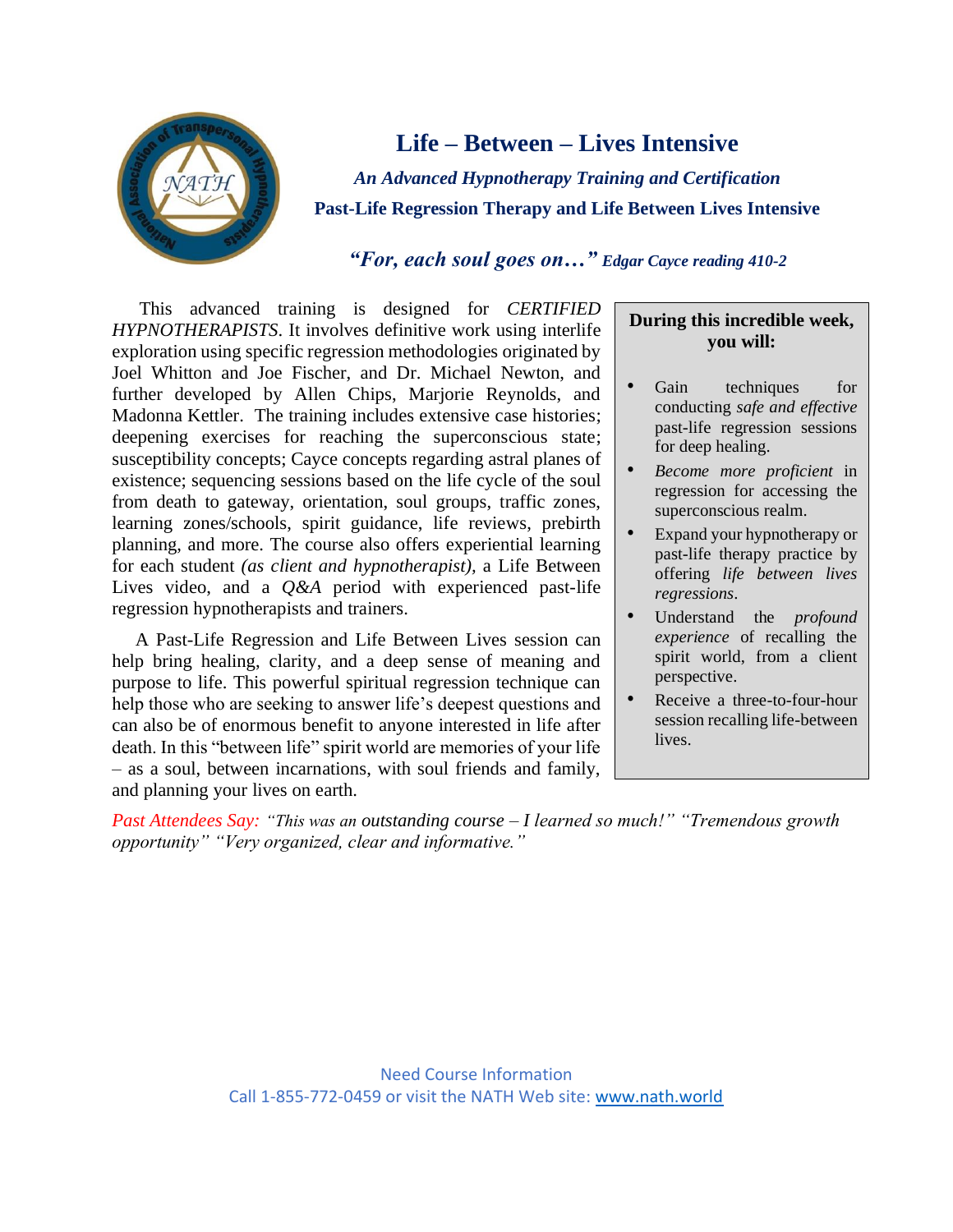

# **Life – Between – Lives Intensive**

*An Advanced Hypnotherapy Training and Certification* **Past-Life Regression Therapy and Life Between Lives Intensive**

### *"For, each soul goes on…" Edgar Cayce reading 410-2*

 This advanced training is designed for *CERTIFIED HYPNOTHERAPISTS*. It involves definitive work using interlife exploration using specific regression methodologies originated by Joel Whitton and Joe Fischer, and Dr. Michael Newton, and further developed by Allen Chips, Marjorie Reynolds, and Madonna Kettler. The training includes extensive case histories; deepening exercises for reaching the superconscious state; susceptibility concepts; Cayce concepts regarding astral planes of existence; sequencing sessions based on the life cycle of the soul from death to gateway, orientation, soul groups, traffic zones, learning zones/schools, spirit guidance, life reviews, prebirth planning, and more. The course also offers experiential learning for each student *(as client and hypnotherapist),* a Life Between Lives video, and a *Q&A* period with experienced past-life regression hypnotherapists and trainers.

 A Past-Life Regression and Life Between Lives session can help bring healing, clarity, and a deep sense of meaning and purpose to life. This powerful spiritual regression technique can help those who are seeking to answer life's deepest questions and can also be of enormous benefit to anyone interested in life after death. In this "between life" spirit world are memories of your life – as a soul, between incarnations, with soul friends and family, and planning your lives on earth.

#### **During this incredible week, you will:**

- Gain techniques for conducting *safe and effective* past-life regression sessions for deep healing.
- *Become more proficient* in regression for accessing the superconscious realm.
- Expand your hypnotherapy or past-life therapy practice by offering *life between lives regressions*.
- Understand the *profound experience* of recalling the spirit world, from a client perspective.
- Receive a three-to-four-hour session recalling life-between lives.

*Past Attendees Say: "This was an outstanding course – I learned so much!" "Tremendous growth opportunity" "Very organized, clear and informative."*